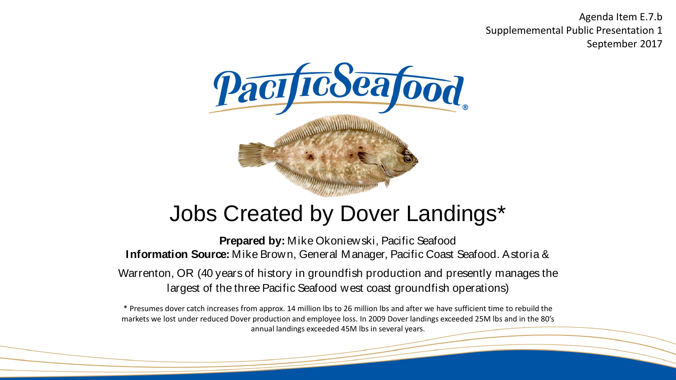Agenda Item E.7.b Supplememental Public Presentation 1 September 2017



# Jobs Created by Dover Landings\*

**Prepared by:** Mike Okoniewski, Pacific Seafood **Information Source:** Mike Brown, General Manager, Pacific Coast Seafood. Astoria &

Warrenton, OR (40 years of history in groundfish production and presently manages the largest of the three Pacific Seafood west coast groundfish operations)

\* Presumes dover catch increases from approx. 14 million lbs to 26 million lbs and after we have sufficient time to rebuild the markets we lost under reduced Dover production and employee loss. In 2009 Dover landings exceeded 25M lbs and in the 80's annual landings exceeded 45M lbs in several years.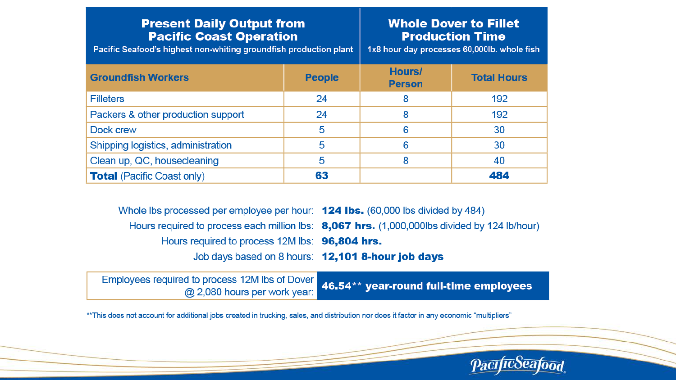## **Present Daily Output from Pacific Coast Operation**

Pacific Seafood's highest non-whiting groundfish production plant

## **Whole Dover to Fillet Production Time**

1x8 hour day processes 60,000lb. whole fish

| <b>Groundfish Workers</b>          | <b>People</b> | Hours/<br><b>Person</b> | <b>Total Hours</b> |
|------------------------------------|---------------|-------------------------|--------------------|
| <b>Filleters</b>                   | 24            | 8                       | 192                |
| Packers & other production support | 24            | 8                       | 192                |
| Dock crew                          | 5             | 6                       | 30                 |
| Shipping logistics, administration | 5             | 6                       | 30                 |
| Clean up, QC, housecleaning        | 5             | 8                       | 40                 |
| <b>Total (Pacific Coast only)</b>  | 63            |                         | 484                |

Whole lbs processed per employee per hour: **124 lbs.** (60,000 lbs divided by 484) Hours required to process each million lbs: 8,067 hrs. (1,000,000lbs divided by 124 lb/hour) Hours required to process 12M lbs: 96,804 hrs. Job days based on 8 hours: 12,101 8-hour job days

Employees required to process 12M lbs of Dover 46.54\*\* year-round full-time employees @ 2,080 hours per work year:

\*\* This does not account for additional jobs created in trucking, sales, and distribution nor does it factor in any economic "multipliers"

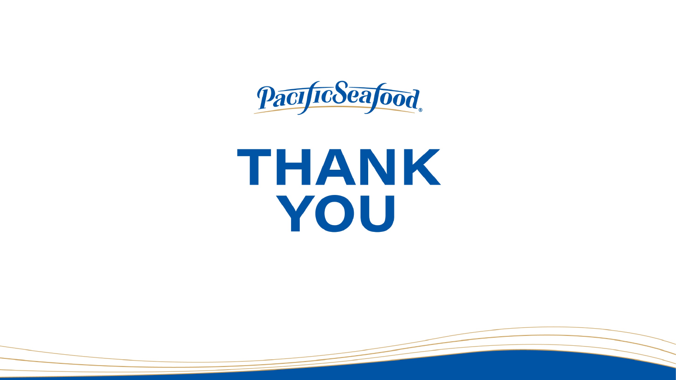PacificSeafood

# THANK YOU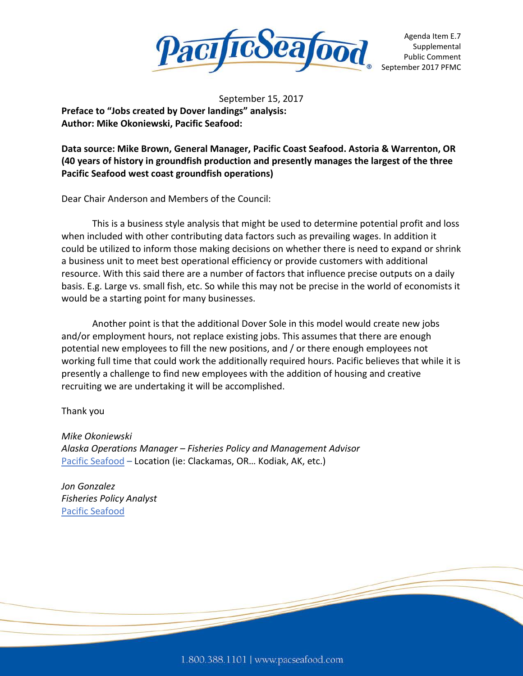

Agenda Item E.7 Supplemental Public Comment September 2017 PFMC

September 15, 2017 **Preface to "Jobs created by Dover landings" analysis: Author: Mike Okoniewski, Pacific Seafood:** 

**Data source: Mike Brown, General Manager, Pacific Coast Seafood. Astoria & Warrenton, OR (40 years of history in groundfish production and presently manages the largest of the three Pacific Seafood west coast groundfish operations)**

Dear Chair Anderson and Members of the Council:

This is a business style analysis that might be used to determine potential profit and loss when included with other contributing data factors such as prevailing wages. In addition it could be utilized to inform those making decisions on whether there is need to expand or shrink a business unit to meet best operational efficiency or provide customers with additional resource. With this said there are a number of factors that influence precise outputs on a daily basis. E.g. Large vs. small fish, etc. So while this may not be precise in the world of economists it would be a starting point for many businesses.

Another point is that the additional Dover Sole in this model would create new jobs and/or employment hours, not replace existing jobs. This assumes that there are enough potential new employees to fill the new positions, and / or there enough employees not working full time that could work the additionally required hours. Pacific believes that while it is presently a challenge to find new employees with the addition of housing and creative recruiting we are undertaking it will be accomplished.

#### Thank you

*Mike Okoniewski Alaska Operations Manager – Fisheries Policy and Management Advisor* [Pacific Seafood](http://www.pacseafood.com/) – Location (ie: Clackamas, OR… Kodiak, AK, etc.)

*Jon Gonzalez Fisheries Policy Analyst* [Pacific Seafood](http://www.pacseafood.com/)